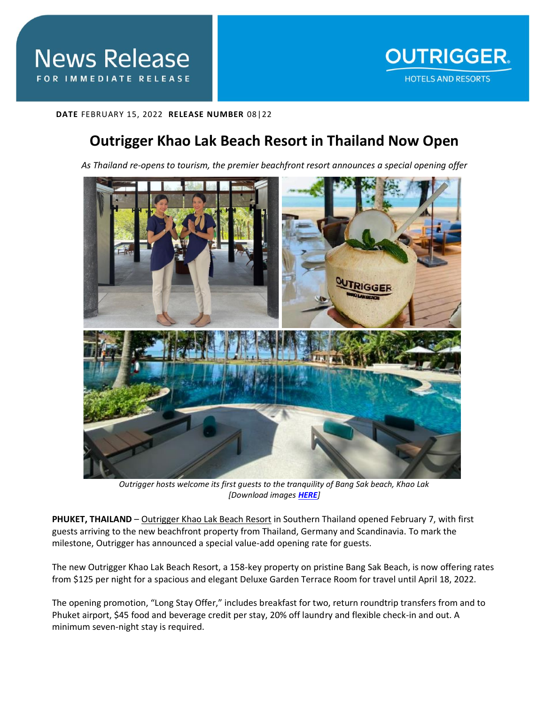**DATE** FEBRUARY 15, 2022 **RELEASE NUMBER** 08|22

## **Outrigger Khao Lak Beach Resort in Thailand Now Open**

*As Thailand re-opens to tourism, the premier beachfront resort announces a special opening offer*



*Outrigger hosts welcome its first guests to the tranquility of Bang Sak beach, Khao Lak [Download images [HERE](https://app.box.com/s/uaqj3agrmewltz6cdg94sib2p2rukni8)]*

**PHUKET, THAILAND** – [Outrigger Khao Lak Beach Resort](https://www.outrigger.com/hotels-resorts/thailand/outrigger-khao-lak-beach-resort) in Southern Thailand opened February 7, with first guests arriving to the new beachfront property from Thailand, Germany and Scandinavia. To mark the milestone, Outrigger has announced a special value-add opening rate for guests.

The new Outrigger Khao Lak Beach Resort, a 158-key property on pristine Bang Sak Beach, is now offering rates from \$125 per night for a spacious and elegant Deluxe Garden Terrace Room for travel until April 18, 2022.

The opening promotion, "Long Stay Offer," includes breakfast for two, return roundtrip transfers from and to Phuket airport, \$45 food and beverage credit per stay, 20% off laundry and flexible check-in and out. A minimum seven-night stay is required.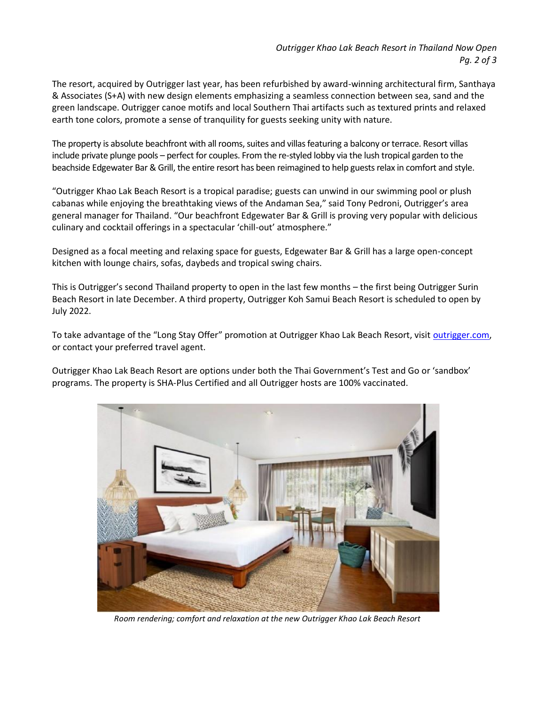The resort, acquired by Outrigger last year, has been refurbished by award-winning architectural firm, Santhaya & Associates (S+A) with new design elements emphasizing a seamless connection between sea, sand and the green landscape. Outrigger canoe motifs and local Southern Thai artifacts such as textured prints and relaxed earth tone colors, promote a sense of tranquility for guests seeking unity with nature.

The property is absolute beachfront with all rooms, suites and villas featuring a balcony or terrace. Resort villas include private plunge pools – perfect for couples. From the re-styled lobby via the lush tropical garden to the beachside Edgewater Bar & Grill, the entire resort has been reimagined to help guests relax in comfort and style.

"Outrigger Khao Lak Beach Resort is a tropical paradise; guests can unwind in our swimming pool or plush cabanas while enjoying the breathtaking views of the Andaman Sea," said Tony Pedroni, Outrigger's area general manager for Thailand. "Our beachfront Edgewater Bar & Grill is proving very popular with delicious culinary and cocktail offerings in a spectacular 'chill-out' atmosphere."

Designed as a focal meeting and relaxing space for guests, Edgewater Bar & Grill has a large open-concept kitchen with lounge chairs, sofas, daybeds and tropical swing chairs.

This is Outrigger's second Thailand property to open in the last few months – the first being Outrigger Surin Beach Resort in late December. A third property, Outrigger Koh Samui Beach Resort is scheduled to open by July 2022.

To take advantage of the "Long Stay Offer" promotion at Outrigger Khao Lak Beach Resort, visit [outrigger.com,](https://www.outrigger.com/) or contact your preferred travel agent.

Outrigger Khao Lak Beach Resort are options under both the Thai Government's Test and Go or 'sandbox' programs. The property is SHA-Plus Certified and all Outrigger hosts are 100% vaccinated.



*Room rendering; comfort and relaxation at the new Outrigger Khao Lak Beach Resort*